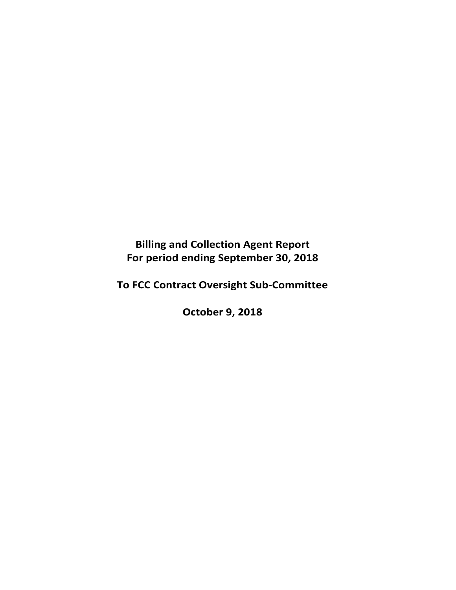**Billing and Collection Agent Report For period ending September 30, 2018** 

**To FCC Contract Oversight Sub‐Committee** 

**October 9, 2018**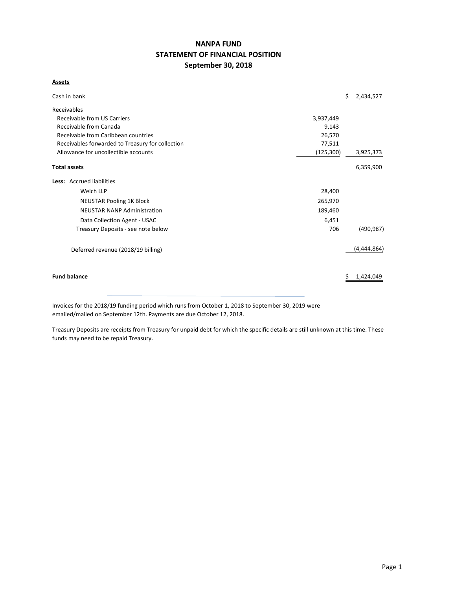# **NANPA FUND STATEMENT OF FINANCIAL POSITION September 30, 2018**

#### **Assets**

| Cash in bank                                     |            | \$ | 2,434,527   |
|--------------------------------------------------|------------|----|-------------|
| Receivables                                      |            |    |             |
| Receivable from US Carriers                      | 3,937,449  |    |             |
| Receivable from Canada                           | 9,143      |    |             |
| Receivable from Caribbean countries              | 26,570     |    |             |
| Receivables forwarded to Treasury for collection | 77,511     |    |             |
| Allowance for uncollectible accounts             | (125, 300) |    | 3,925,373   |
| <b>Total assets</b>                              |            |    | 6,359,900   |
| Less: Accrued liabilities                        |            |    |             |
| Welch LLP                                        | 28,400     |    |             |
| <b>NEUSTAR Pooling 1K Block</b>                  | 265,970    |    |             |
| <b>NEUSTAR NANP Administration</b>               | 189,460    |    |             |
| Data Collection Agent - USAC                     | 6,451      |    |             |
| Treasury Deposits - see note below               | 706        |    | (490, 987)  |
| Deferred revenue (2018/19 billing)               |            |    | (4,444,864) |
| <b>Fund balance</b>                              |            | Ş  | 1,424,049   |

Invoices for the 2018/19 funding period which runs from October 1, 2018 to September 30, 2019 were emailed/mailed on September 12th. Payments are due October 12, 2018.

Treasury Deposits are receipts from Treasury for unpaid debt for which the specific details are still unknown at this time. These funds may need to be repaid Treasury.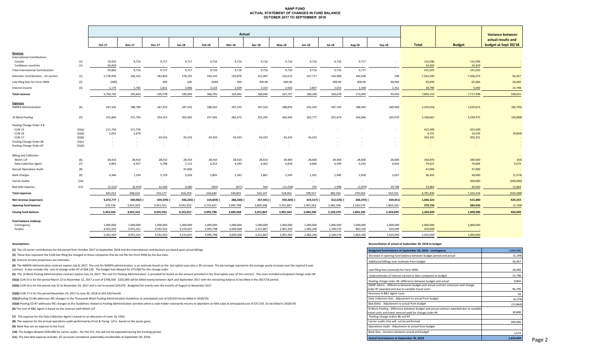#### **NANP FUND ACTUAL STATEMENT OF CHANGES IN FUND BALANCE OCTOBER 2017 TO SEPTEMBER 2018**

|                                          |        | Actual     |               |               |               |            |           |            |               |                |               |               |           | <b>Variance between</b> |               |                      |
|------------------------------------------|--------|------------|---------------|---------------|---------------|------------|-----------|------------|---------------|----------------|---------------|---------------|-----------|-------------------------|---------------|----------------------|
|                                          |        |            |               |               |               |            |           |            |               |                |               |               |           |                         |               | actual results and   |
|                                          |        | Oct-17     | <b>Nov-17</b> | <b>Dec-17</b> | $Jan-18$      | Feb-18     | Mar-18    | Apr-18     | <b>May-18</b> | <b>Jun-18</b>  | <b>Jul-18</b> | <b>Aug-18</b> | Sep-18    | <b>Total</b>            | <b>Budget</b> | budget at Sept 30/18 |
| Revenue                                  |        |            |               |               |               |            |           |            |               |                |               |               |           |                         |               |                      |
| <b>International Contributions</b>       |        |            |               |               |               |            |           |            |               |                |               |               |           |                         |               |                      |
| Canada                                   | (1)    | 19,433     | 9,716         | 9,717         | 9,717         | 9,716      | 9,716     | 9,716      | 9,716         | 9,716          | 9,716         | 9,717         |           | 116,596                 | 116,596       | $\sim$               |
| Caribbean countries                      | (1)    | 24,429     | $\sim$        | $\sim$ $\sim$ | $\sim$ $\sim$ |            | $\sim$    | $\sim$     | $\sim$        | $\sim$         | $\sim$        | $\sim$        | $\sim$    | 24,429                  | 24,429        |                      |
| <b>Total International Contributions</b> |        | 43,862     | 9,716         | 9,717         | 9,717         | 9,716      | 9,716     | 9,716      | 9,716         | 9,716          | 9,716         | 9,717         | $\sim$    | 141,025                 | 141,025       |                      |
| Domestic Contributions - US carriers     | (1)    | 5,718,956  | 184,162       | 183,850       | 178,191       | 354,142    | 150,876   | 152,907    | 154,515       | 167,717        | 156,908       | 160,508       | 198       | 7,562,930               | 7,506,473     | 56,457               |
| Late filing fees for Form 499A           | (2)    | (200)      | $\sim$        | 200           | 100           | (200)      | 300       | 700.00     | 600.00        | $\sim 10^{-1}$ | 400.00        | 600.00        | 90,900    | 93,400                  | 65,000        | 28,400               |
| Interest income                          | (3)    | 1,174      | 1,765         | 1,811         | 2,086         | 3,123      | 2,509     | 3,323      | 2,926         | 2,807          | 2,654         | 2,268         | 2,352     | 28,798                  | 5,000         | 23,798               |
| <b>Total revenue</b>                     |        | 5,763,792  | 195,643       | 195,578       | 190,094       | 366,781    | 163,401   | 166,646    | 167,757       | 180,240        | 169,678       | 173,093       | 93,450    | 7,826,153               | 7,717,498     | 108,655              |
| <b>Expenses</b>                          |        |            |               |               |               |            |           |            |               |                |               |               |           |                         |               |                      |
| <b>NANPA Administration</b>              | (4)    | 187,332    | 188,789       | 187,332       | 187,332       | 188,562    | 187,332   | 187,332    | 188,876       | 255,545        | 187,743       | 188,383       | 189,460   | 2,324,018               | 2,420,813     | (96, 795)            |
| 1K Block Pooling                         | (5)    | 255,804    | 257,795       | 254,315       | 303,465       | 257,581    | 282,672   | 255,205    | 260,343       | 263,777        | 255,674       | 256,066       | 265,970   | 3,168,667               | 3,199,475     | (30, 808)            |
| Pooling Change Order 3 B                 |        |            |               |               |               |            |           |            |               |                |               |               |           |                         |               |                      |
| - CLIN 15                                | (5)(a) | 211,750    | 211,750       | $\sim$        |               |            |           | $\sim$     |               |                |               |               |           | 423,500                 | 423,500       |                      |
| - CLIN 16                                | (5)(b) | 2,052      | 2,679         | $\sim$        |               |            |           |            |               |                |               |               |           | 4,731                   | 14,535        | (9,804)              |
| - CLIN 17                                | (5)(b) | $\sim 100$ | $\sim$        | 43,333        | 43,333        | 43,333     | 43,333    | 43,333     | 43,333        | 43,333         |               |               |           | 303,331                 | 303,331       |                      |
| Pooling Change Order #6                  | (5)(c) | $\sim$     | $\sim$        | $\sim$        | $\sim$        | $\sim$     | $\sim$    | $\sim$     | $\sim$        | $\sim$         |               |               |           | $\sim$                  |               |                      |
| Pooling Change Order #7                  | (5)(d) | $\sim$     |               | $\sim$        |               |            | $\sim$    | $\sim$     | $\sim$        |                |               |               | $\sim$    | $\sim$                  |               | $\sim$               |
| <b>Billing and Collection</b>            |        |            |               |               |               |            |           |            |               |                |               |               |           |                         |               |                      |
| Welch LLP                                | (6)    | 28,410     | 28,410        | 28,410        | 28,410        | 28,410     | 28,410    | 28,410     | 28,400        | 28,400         | 28,400        | 28,400        | 28,400    | 340,870                 | 340,920       | (50)                 |
| Data Collection Agent                    | (7)    | 6,843      | 6,927         | 5,798         | 7,113         | 6,253      | 6,593     | 6,462      | 6,818         | 6,666          | 6,599         | 6,535         | 6,816     | 79,423                  | 74,844        | 4,579                |
| <b>Annual Operations Audit</b>           | (8)    | $\sim$     | $\sim$        | $\sim$        | 47,000        | $\sim$     | $\sim$    | $\sim$     | $\sim$        | $\sim$         | $\sim$        |               |           | 47,000                  | 47,000        |                      |
| <b>Bank Charges</b>                      | (9)    | 4,346      | 7,194         | 3,729         | 3,026         | 2,803      | 2,362     | 2,861      | 2,549         | 1,501          | 1,940         | 2,058         | 2,057     | 36,426                  | 38,000        | (1, 574)             |
| <b>Carrier Audits</b>                    | (10)   | $\sim$ $-$ | $\sim$        | $\sim$        | $\sim$ $\sim$ | $\sim$     | $\sim$    | $\sim$     | $\sim$        | $\sim$         | $\sim$        | $\sim$        | $\sim$    | $\sim$                  | 200,000       | (200,000)            |
| Bad debt expense                         | (11)   | (5, 522)   | (6, 919)      | 32,260        | 6,680         | (302)      | (871)     | 544        | (12, 258)     | 335            | 1,998         | (1,879)       | 39,798    | 53,864                  | 40,000        | 13,864               |
| <b>Total expenses</b>                    |        | 691,015    | 696,625       | 555,177       | 626,359       | 526,640    | 549,831   | 524,147    | 518,061       | 599,557        | 482,354       | 479,563       | 532,501   | 6,781,830               | 7,102,418     | (320, 588)           |
| Net revenue (expenses)                   |        | 5,072,777  | 500,982)      | 359,599)      | 436,265)      | 159,859) ( | 386,430)  | 357,501) ( | 350,304)      | 419,317)       | 312,676)      | 306,470) (    | 439,051)  | 1,044,323               | 615,080       | 429,243              |
| <b>Opening fund balance</b>              |        | 379,726    | 5,452,503     | 4,951,521     | 4,591,922     | 4,155,657  | 3,995,798 | 3,609,368  | 3,251,867     | 2,901,563      | 2,482,246     | 2,169,570     | 1,863,100 | 379,726                 | 384,920       | (5, 194)             |
| <b>Closing fund balance</b>              |        | 5,452,503  | 4,951,521     | 4,591,922     | 4,155,657     | 3,995,798  | 3,609,368 | 3,251,867  | 2,901,563     | 2,482,246      | 2,169,570     | 1,863,100     | 1,424,049 | 1,424,049               | 1,000,000     | 424,049              |
| Fund balance makeup:                     |        |            |               |               |               |            |           |            |               |                |               |               |           |                         |               |                      |
| Contingency                              |        | 1,000,000  | 1,000,000     | 1,000,000     | 1,000,000     | 1,000,000  | 1,000,000 | 1,000,000  | 1,000,000     | 1,000,000      | 1,000,000     | 1,000,000     | 1,000,000 | 1,000,000               | 1,000,000     |                      |
| Surplus                                  |        | 4,452,503  | 3,951,521     | 3,591,922     | 3,155,657     | 2,995,798  | 2,609,368 | 2,251,867  | 1,901,563     | 1,482,246      | 1,169,570     | 863,100       | 424,049   | 424,049                 |               |                      |
|                                          |        | 5.452.503  | 4,951,521     | 4.591.922     | 4.155.657     | 3,995,798  | 3.609.368 | 3,251,867  | 2,901,563     | 2.482.246      | 2.169.570     | 1.863.100     | 1.424.049 | 1.424.049               | 1.000.000     |                      |
|                                          |        |            |               |               |               |            |           |            |               |                |               |               |           |                         |               |                      |

**(1)** The US carrier contributions for the period from October 2017 to September 2018 and the International contributions are based upon actual billings.

(2) These fees represent the \$100 late filing fee charged to those companies that do not file the Form 499A by the due date.

**(3)** Interest income projections are estimates

(4) The NANPA Administration contract expires July 8, 2017. The cost for NANPA administration is an estimate based on the last option year plus a 3% increase. The percentage represents the average yearly increase over the contract. It also includes the cost of change order #7 of \$68,120. The budget had allowed for \$75,000 for this change order

(5) The 1K Block Pooling Administration contract expires July 14, 2017. The cost for Pooling Administration is provided for based on the amount provided in the final option year of the contract. The costs included anticipa

(5)(a) CLIN 15 is for the period March 22 to November 22, 2017 a cost of \$748,500. \$325,000 will be billed evenly between April and September 2017 with the remaining balance to be billed in the 2017/18 period.

**(5)(b)** CLIN 16 is for the period July 31 to November 24, 2017 and is not to exceed \$29,070. Budgeted for evenly over the months of August to November 2017

**(5)(b)** CLIN 17 is for the period November 24, 2017 to June 30, 2018 at \$43,333/month <sup>50</sup>

**(5)(c)**Pooling CO #6 addresses INC changes to the Thousands-Block Pooling Administration Guidelines at anticipated cost of \$20,053 (to be billed in 2018/19)

(5)(d) Pooling CO #7 addresses INC changes to the Guidelines related to Pooling Administration activities when a code holder voluntarily returns or abandons an NXX code at anticipated cost of \$37,333. (to be billed in 2018 **(6)** The cost of B&C Agent is based on the contract with Welch LLP

**(7)**  The expense for the Data Collection Agent is based on an allocation of costs by USAC. ‐

**(8)** The expense for the annual operations audit performed by Ernst & Young LLP is based on the quote given.

**(9)** Bank fees are an expense to the Fund.

**(10)** The budget allowed \$200,000 for carrier audits. Per the FCC, this will not be expended during this funding period.

**(11)**  The bad debt expense includes all accounts considered potentially uncollectible at September 30, 2018.

#### **Assumptions: Reconciliation of actual at September 30, 2018 to budget**

| Budgeted fund balance at September 30, 2018 - contingency                                                                                                                             | 1,000,000 |
|---------------------------------------------------------------------------------------------------------------------------------------------------------------------------------------|-----------|
| Decrease in opening fund balance between budget period and actual                                                                                                                     | (5, 194)  |
| Additional billings over estimate from budget                                                                                                                                         | 56,457    |
| Late filing fees (reversal) for Form 499A                                                                                                                                             | 28,400    |
| Underestimate of interest earned to date compared to budget                                                                                                                           | 23,798    |
| Pooling change order 3B -difference between budget and actual                                                                                                                         | 9,804     |
| NANP Admin - difference between budget and actual contract extension and change<br>order #7 awarded and due to variable travel costs                                                  | 96,795    |
| Decrease in B&C Agent costs                                                                                                                                                           | 50        |
| Data Collection fees - Adjustment to actual from budget                                                                                                                               | (4, 579)  |
| Bad debts - Adjustment to actual from budget                                                                                                                                          | (13, 864) |
| IK Block Pooling - difference between budget and actual contract awarded due to variable<br>travel costs and lower amount paid for change order #4<br>Pooling change orders #6 and #7 | 30,808    |
| Carrier audits that will not be performed                                                                                                                                             | 200,000   |
| Operations Audit - Adjustment to actual from budget                                                                                                                                   |           |
| Bank fees - Variance between actual and budget                                                                                                                                        | 1,574     |
| Actual fund balance at September 30, 2018                                                                                                                                             | 1,424,049 |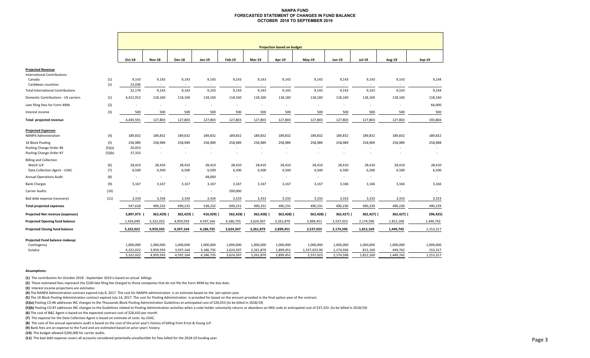#### **NANPA FUND FORECASTED STATEMENT OF CHANGES IN FUND BALANCEOCTOBER 2018 TO SEPTEMBER 2019**

|                                          |        | <b>Projection based on budget</b> |                          |                                   |                          |                                   |                          |                 |                                   |                          |                          |                 |           |
|------------------------------------------|--------|-----------------------------------|--------------------------|-----------------------------------|--------------------------|-----------------------------------|--------------------------|-----------------|-----------------------------------|--------------------------|--------------------------|-----------------|-----------|
|                                          |        | Oct-18                            | <b>Nov-18</b>            | <b>Dec-18</b>                     | Jan-19                   | Feb-19                            | <b>Mar-19</b>            | Apr-19          | May-19                            | <b>Jun-19</b>            | Jul-19                   | Aug-19          | Sep-19    |
| <b>Projected Revenue</b>                 |        |                                   |                          |                                   |                          |                                   |                          |                 |                                   |                          |                          |                 |           |
| <b>International Contributions</b>       |        |                                   |                          |                                   |                          |                                   |                          |                 |                                   |                          |                          |                 |           |
| Canada<br>Caribbean countries            | (1)    | 9,143<br>23,036                   | 9,143                    | 9,143                             | 9,143<br>$\sim$          | 9,143                             | 9,143                    | 9,143           | 9,143                             | 9,143<br>$\sim$          | 9,143                    | 9,143           | 9,144     |
| <b>Total International Contributions</b> | (1)    | 32,179                            | $\sim$<br>9,143          | $\overline{\phantom{a}}$<br>9,143 | 9,143                    | $\overline{\phantom{a}}$<br>9,143 | $\sim$<br>9,143          | $\sim$<br>9,143 | $\overline{\phantom{a}}$<br>9,143 | 9,143                    | 9,143                    | $\sim$<br>9,143 | 9,144     |
|                                          |        |                                   |                          |                                   |                          |                                   |                          |                 |                                   |                          |                          |                 |           |
| Domestic Contributions - US carriers     | (1)    | 4,412,912                         | 118,160                  | 118,160                           | 118,160                  | 118,160                           | 118,160                  | 118,160         | 118,160                           | 118,160                  | 118,160                  | 118,160         | 118,160   |
| Late filing fees for Form 499A           | (2)    |                                   | $\overline{\phantom{a}}$ |                                   |                          | $\sim$                            | ÷,                       |                 |                                   | $\sim$                   | $\blacksquare$           | ٠               | 66,000    |
| Interest income                          | (3)    | 500                               | 500                      | 500                               | 500                      | 500                               | 500                      | 500             | 500                               | 500                      | 500                      | 500             | 500       |
| Total projected revenue                  |        | 4,445,591                         | 127,803                  | 127,803                           | 127,803                  | 127,803                           | 127,803                  | 127,803         | 127,803                           | 127,803                  | 127,803                  | 127,803         | 193,804   |
| <b>Projected Expenses</b>                |        |                                   |                          |                                   |                          |                                   |                          |                 |                                   |                          |                          |                 |           |
| <b>NANPA Administration</b>              | (4)    | 189,832                           | 189,832                  | 189,832                           | 189,832                  | 189,832                           | 189,832                  | 189,832         | 189,832                           | 189,832                  | 189,832                  | 189,832         | 189,832   |
| 1K Block Pooling                         | (5)    | 258,989                           | 258,989                  | 258,989                           | 258,989                  | 258,989                           | 258,989                  | 258,989         | 258,989                           | 258,989                  | 258,989                  | 258,989         | 258,988   |
| Pooling Change Order #6                  | (5)(a) | 20,053                            | $\overline{\phantom{a}}$ |                                   |                          |                                   | ٠                        |                 |                                   |                          |                          |                 |           |
| Pooling Change Order #7                  | (5)(b) | 37,333                            | $\overline{\phantom{a}}$ | $\overline{a}$                    | $\sim$                   | $\sim$                            | $\overline{\phantom{a}}$ |                 |                                   | ٠                        | $\overline{\phantom{a}}$ | ٠.              | $\sim$    |
| <b>Billing and Collection</b>            |        |                                   |                          |                                   |                          |                                   |                          |                 |                                   |                          |                          |                 |           |
| Welch LLP                                | (6)    | 28,410                            | 28,410                   | 28,410                            | 28,410                   | 28,410                            | 28,410                   | 28,410          | 28,410                            | 28,410                   | 28,410                   | 28,410          | 28,410    |
| Data Collection Agent - USAC             | (7)    | 6,500                             | 6,500                    | 6,500                             | 6,500                    | 6,500                             | 6,500                    | 6,500           | 6,500                             | 6,500                    | 6,500                    | 6,500           | 6,500     |
| <b>Annual Operations Audit</b>           | (8)    | $\overline{\phantom{a}}$          | $\overline{\phantom{a}}$ | $\sim$                            | 48,000                   | $\sim$                            | $\overline{\phantom{a}}$ | $\sim$          | $\sim$                            | $\overline{\phantom{a}}$ | $\overline{\phantom{a}}$ | $\sim$          |           |
| <b>Bank Charges</b>                      | (9)    | 3,167                             | 3,167                    | 3,167                             | 3,167                    | 3,167                             | 3,167                    | 3,167           | 3,167                             | 3,166                    | 3,166                    | 3,166           | 3,166     |
| <b>Carrier Audits</b>                    | (10)   | $\sim$                            | $\overline{\phantom{a}}$ |                                   | $\overline{\phantom{a}}$ | 200,000                           | $\overline{\phantom{a}}$ |                 |                                   | $\sim$                   | ٠                        |                 |           |
| Bad debt expense (recovery)              | (11)   | 3,334                             | 3,334                    | 3,334                             | 3,334                    | 3,333                             | 3,333                    | 3,333           | 3,333                             | 3,333                    | 3,333                    | 3,333           | 3,333     |
| <b>Total projected expenses</b>          |        | 547,618                           | 490,232                  | 490,232                           | 538,232                  | 690,231                           | 490,231                  | 490,231         | 490,231                           | 490,230                  | 490,230                  | 490,230         | 490,229   |
| Projected Net revenue (expenses)         |        | 3,897,973                         | 362,429) (               | 362,429) (                        | 410,429) (               | 562,428)                          | 362,428)                 | 362,428) (      | 362,428)                          | 362,427) (               | 362,427) (               | 362,427) (      | 296,425)  |
| <b>Projected Opening fund balance</b>    |        | 1,424,049                         | 5,322,022                | 4,959,593                         | 4,597,164                | 4,186,735                         | 3,624,307                | 3,261,879       | 2,899,451                         | 2,537,023                | 2,174,596                | 1,812,169       | 1,449,742 |
| <b>Projected Closing fund balance</b>    |        | 5,322,022                         | 4,959,593                | 4,597,164                         | 4,186,735                | 3,624,307                         | 3,261,879                | 2,899,451       | 2,537,023                         | 2,174,596                | 1,812,169                | 1,449,742       | 1,153,317 |
| Projected Fund balance makeup:           |        |                                   |                          |                                   |                          |                                   |                          |                 |                                   |                          |                          |                 |           |
| Contingency                              |        | 1,000,000                         | 1,000,000                | 1,000,000                         | 1,000,000                | 1,000,000                         | 1,000,000                | 1,000,000       | 1,000,000                         | 1,000,000                | 1,000,000                | 1,000,000       | 1,000,000 |
| Surplus                                  |        | 4,322,022                         | 3,959,593                | 3,597,164                         | 3,186,735                | 2,624,307                         | 2,261,879                | 1,899,451       | 1,537,023.00                      | 1,174,596                | 812,169                  | 449,742         | 153,317   |
|                                          |        | 5,322,022                         | 4,959,593                | 4,597,164                         | 4,186,735                | 3,624,307                         | 3,261,879                | 2,899,451       | 2,537,023                         | 2,174,596                | 1,812,169                | 1,449,742       | 1,153,317 |

#### **Assumptions:**

**(1)** The contribution for October 2018 ‐ September 2019 is based on actual billings.

**(2)** These estimated fees represent the \$100 late filing fee charged to those companies that do not file the Form 499A by the due date.

**(3)** Interest income projections are estimates

**(4)** The NANPA Administration contract expired July 8, 2017. The cost for NANPA administration is an estimate based on the last option year.

**(5)** The 1K Block Pooling Administration contract expired July 14, 2017. The cost for Pooling Administration is provided for based on the amount provided in the final option year of the contract.

**(5)(a)** Pooling CO #6 addresses INC changes to the Thousands‐Block Pooling Administration Guidelines at anticipated cost of \$20,053 (to be billed in 2018/19)

(5)(b) Pooling CO #7 addresses INC changes to the Guidelines related to Pooling Administration activities when a code holder voluntarily returns or abandons an NXX code at anticipated cost of \$37,333. (to be billed in 2018

**(6)** The cost of B&C Agent is based on the expected contract cost of \$28,410 per month

**(7)**  The expense for the Data Collection Agent is based on estimate of costs by USAC.

**(8)**  The cost of the annual operations audit is based on the cost of the prior year's history of billing from Ernst & Young LLP.

**(9)** Bank fees are an expense to the Fund and are estimated based on prior years' history.

**(10)** The budget allowed \$200,000 for carrier audits.

**(11)**  The bad debt expense covers all accounts considered potentially uncollectible for fees billed for the 2018‐19 funding year.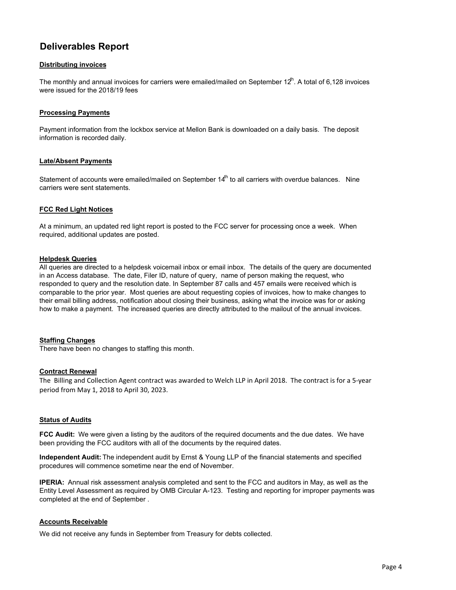# **Deliverables Report**

## **Distributing invoices**

The monthly and annual invoices for carriers were emailed/mailed on September 12<sup>th</sup>. A total of 6,128 invoices were issued for the 2018/19 fees

## **Processing Payments**

Payment information from the lockbox service at Mellon Bank is downloaded on a daily basis. The deposit information is recorded daily.

## **Late/Absent Payments**

Statement of accounts were emailed/mailed on September 14<sup>th</sup> to all carriers with overdue balances. Nine carriers were sent statements.

## **FCC Red Light Notices**

At a minimum, an updated red light report is posted to the FCC server for processing once a week. When required, additional updates are posted.

#### **Helpdesk Queries**

All queries are directed to a helpdesk voicemail inbox or email inbox. The details of the query are documented in an Access database. The date, Filer ID, nature of query, name of person making the request, who responded to query and the resolution date. In September 87 calls and 457 emails were received which is comparable to the prior year. Most queries are about requesting copies of invoices, how to make changes to their email billing address, notification about closing their business, asking what the invoice was for or asking how to make a payment. The increased queries are directly attributed to the mailout of the annual invoices.

#### **Staffing Changes**

There have been no changes to staffing this month.

#### **Contract Renewal**

The Billing and Collection Agent contract was awarded to Welch LLP in April 2018. The contract is for a 5‐year period from May 1, 2018 to April 30, 2023.

## **Status of Audits**

**FCC Audit:** We were given a listing by the auditors of the required documents and the due dates. We have been providing the FCC auditors with all of the documents by the required dates.

**Independent Audit:** The independent audit by Ernst & Young LLP of the financial statements and specified procedures will commence sometime near the end of November.

**IPERIA:** Annual risk assessment analysis completed and sent to the FCC and auditors in May, as well as the Entity Level Assessment as required by OMB Circular A-123. Testing and reporting for improper payments was completed at the end of September .

#### **Accounts Receivable**

We did not receive any funds in September from Treasury for debts collected.